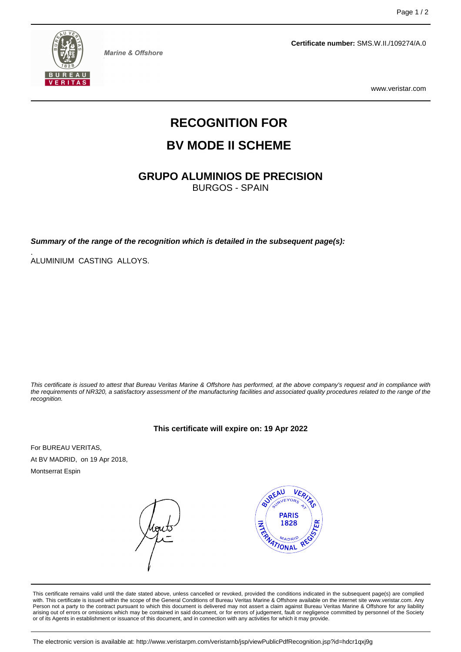

**Marine & Offshore** 

**Certificate number:** SMS.W.II./109274/A.0

www.veristar.com

# **RECOGNITION FOR**

# **BV MODE II SCHEME**

**GRUPO ALUMINIOS DE PRECISION**

BURGOS - SPAIN

**Summary of the range of the recognition which is detailed in the subsequent page(s):**

. ALUMINIUM CASTING ALLOYS.

This certificate is issued to attest that Bureau Veritas Marine & Offshore has performed, at the above company's request and in compliance with the requirements of NR320, a satisfactory assessment of the manufacturing facilities and associated quality procedures related to the range of the recognition.

**This certificate will expire on: 19 Apr 2022**

For BUREAU VERITAS, At BV MADRID, on 19 Apr 2018,

Montserrat Espin

**BUREAU** VER) **PARIS**  $\frac{1}{\sqrt{2}}$ 1828 **MATIONAL** 

This certificate remains valid until the date stated above, unless cancelled or revoked, provided the conditions indicated in the subsequent page(s) are complied with. This certificate is issued within the scope of the General Conditions of Bureau Veritas Marine & Offshore available on the internet site www.veristar.com. Any Person not a party to the contract pursuant to which this document is delivered may not assert a claim against Bureau Veritas Marine & Offshore for any liability arising out of errors or omissions which may be contained in said document, or for errors of judgement, fault or negligence committed by personnel of the Society or of its Agents in establishment or issuance of this document, and in connection with any activities for which it may provide.